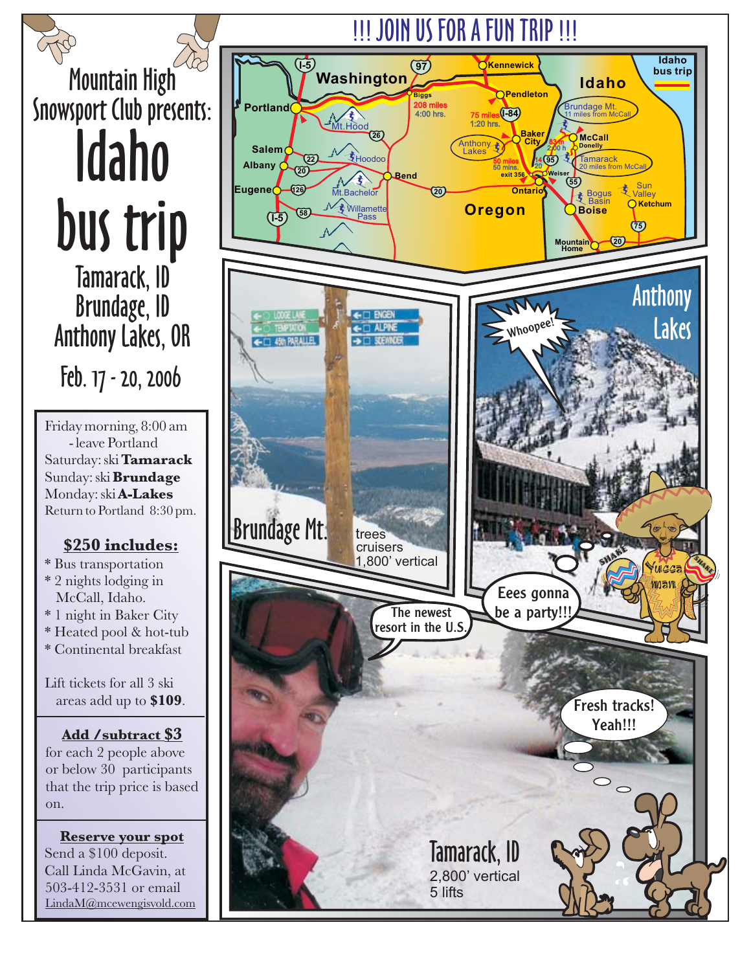Mountain High Snowsport Club presents: Tamarack, ID Brundage, ID Anthony Lakes, OR Idaho bus trip Feb. 17 - 20, 2006

Friday morning, 8:00 am - leave Portland Saturday: ski **Tamarack** Sunday: ski **Brundage** Monday: ski **A-Lakes** Return to Portland 8:30 pm.

## **\$250 includes:**

- \* Bus transportation \* 2 nights lodging in
- McCall, Idaho. \* 1 night in Baker City
- \* Heated pool & hot-tub
- \* Continental breakfast

Lift tickets for all 3 ski areas add up to **\$109**.

## **Add /subtract \$3**

for each 2 people above or below 30 participants that the trip price is based on.

**Reserve your spot** Send a \$100 deposit. Call Linda McGavin, at 503-412-3531 or email LindaM@mcewengisvold.com